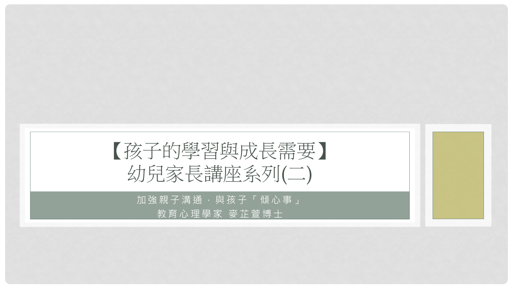

加強親子溝通,與孩子「傾心事」 教育心理學家 麥芷萱博士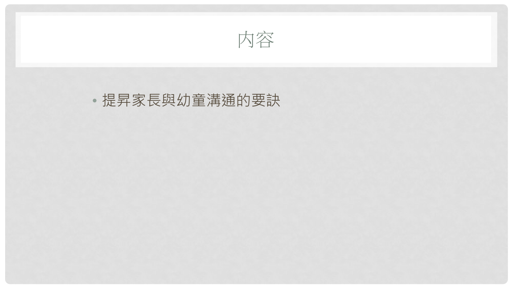

### • 提昇家長與幼童溝通的要訣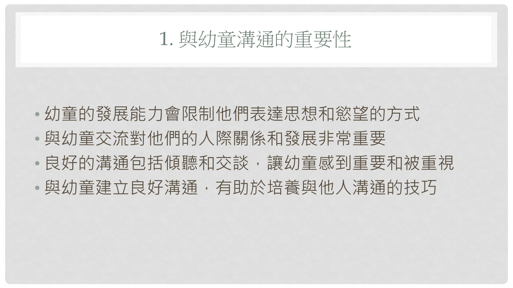### 1. 與幼童溝通的重要性

- 幼童的發展能力會限制他們表達思想和慾望的方式
- 與幼童交流對他們的人際關係和發展非常重要
- 良好的溝涌句括傾聽和交談, 讓幼童感到重要和被重視
- 與幼童建立良好溝通,有助於培養與他人溝通的技巧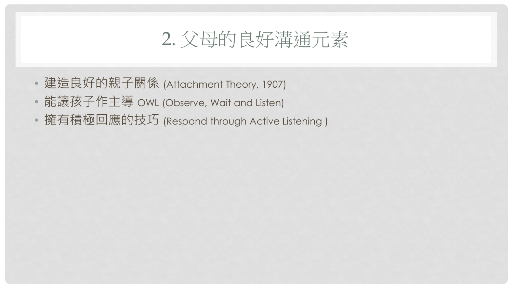## 2. 父母的良好溝通元素

- 建造良好的親子關係 (Attachment Theory, 1907)
- 能讓孩子作主導 OWL (Observe, Wait and Listen)
- 擁有積極回應的技巧 (Respond through Active Listening )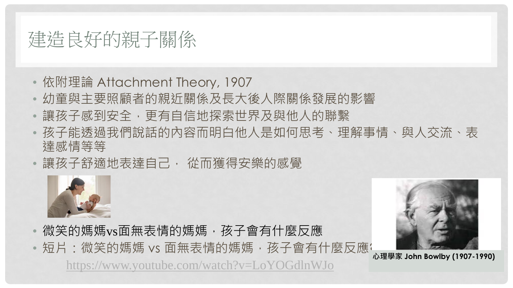# 建造良好的親子關係

- 依附理論 Attachment Theory, 1907
- 幼童與主要照顧者的親近關係及長大後人際關係發展的影響
- 讓孩子感到安全,更有自信地探索世界及與他人的聯繫
- 孩子能透過我們說話的內容而明白他人是如何思考、理解事情、與人交流、表 達感情等等
- 讓孩子舒適地表達自己, 從而獲得安樂的感覺



- 微笑的媽媽vs面無表情的媽媽,孩子會有什麼反應
- •短片:微笑的媽媽 vs 面無表情的媽媽 · 孩子會有什麼反應? **心理學家 John Bowlby (1907-1990)**

<https://www.youtube.com/watch?v=LoYOGdlnWJo>

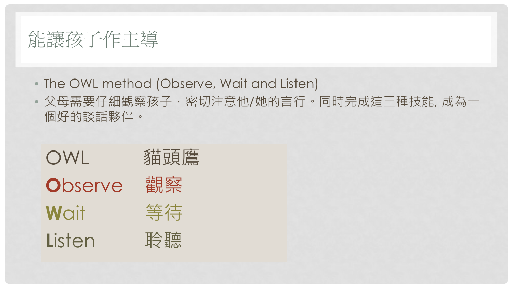

- The OWL method (Observe, Wait and Listen)
- 父母需要仔細觀察孩子,密切注意他/她的言行。同時完成這三種技能, 成為一 個好的談話夥伴。

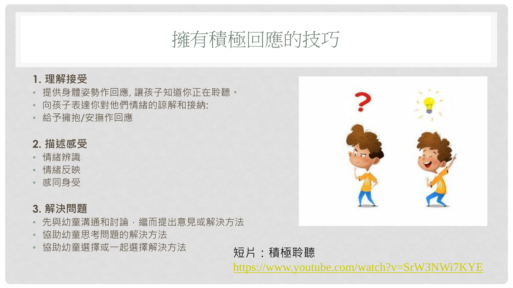### 擁有積極回應的技巧

#### **1. 理解接受**

- 提供身體姿勢作回應, 讓孩子知道你正在聆聽。
- 向孩子表達你對他們情緒的諒解和接納:
- 給予擁抱/安撫作回應

#### **2. 描述感受**

- 情緒辨識
- 情緒反映
- 感同身受

#### **3. 解決問題**

- 先與幼童溝通和討論,繼而提出意見或解決方法
- 協助幼童思考問題的解決方法
- 協助幼童選擇或一起選擇解決方法 短片:積極聆聽



<https://www.youtube.com/watch?v=SrW3NWi7KYE>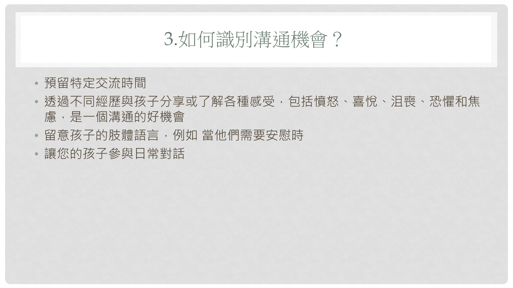### 3.如何識別溝通機會?

- 預留特定交流時間
- 透過不同經歷與孩子分享或了解各種感受,包括憤怒、喜悅、沮喪、恐懼和焦 慮,是一個溝通的好機會
- •留意孩子的肢體語言,例如 當他們需要安慰時
- 讓您的孩子參與日常對話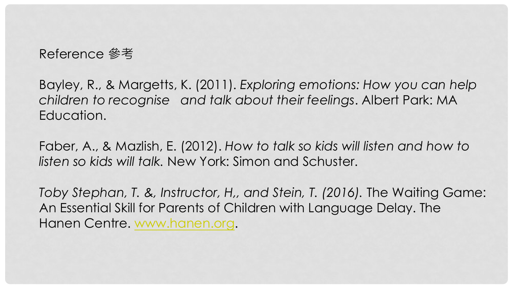### Reference 參考

Bayley, R., & Margetts, K. (2011). *Exploring emotions: How you can help children to recognise and talk about their feelings*. Albert Park: MA Education.

Faber, A., & Mazlish, E. (2012). *How to talk so kids will listen and how to listen so kids will talk.* New York: Simon and Schuster.

*Toby Stephan, T. &, Instructor, H,, and Stein, T. (2016). The Waiting Game:* An Essential Skill for Parents of Children with Language Delay. The Hanen Centre. [www.hanen.org](http://www.hanen.org/).